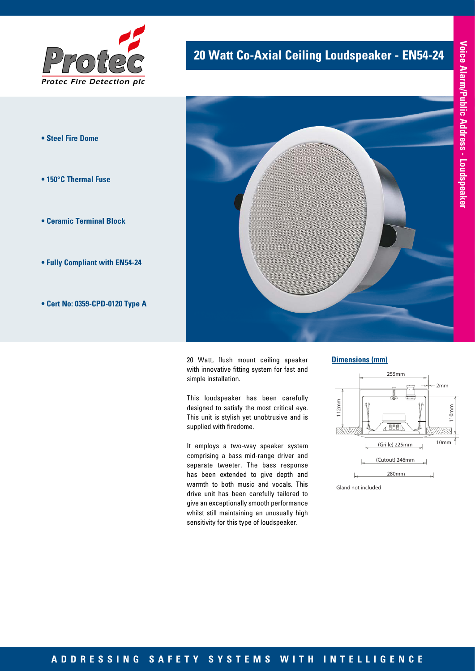

- **Steel Fire Dome**
- **150°C Thermal Fuse**
- **Ceramic Terminal Block**
- **Fully Compliant with EN54-24**
- **Cert No: 0359-CPD-0120 Type A**

# **20 Watt Co-Axial Ceiling Loudspeaker - EN54-24**



20 Watt, flush mount ceiling speaker with innovative fitting system for fast and simple installation.

This loudspeaker has been carefully designed to satisfy the most critical eye. This unit is stylish yet unobtrusive and is supplied with firedome.

It employs a two-way speaker system comprising a bass mid-range driver and separate tweeter. The bass response has been extended to give depth and warmth to both music and vocals. This drive unit has been carefully tailored to give an exceptionally smooth performance whilst still maintaining an unusually high sensitivity for this type of loudspeaker.

#### **Dimensions (mm)**



Gland not included